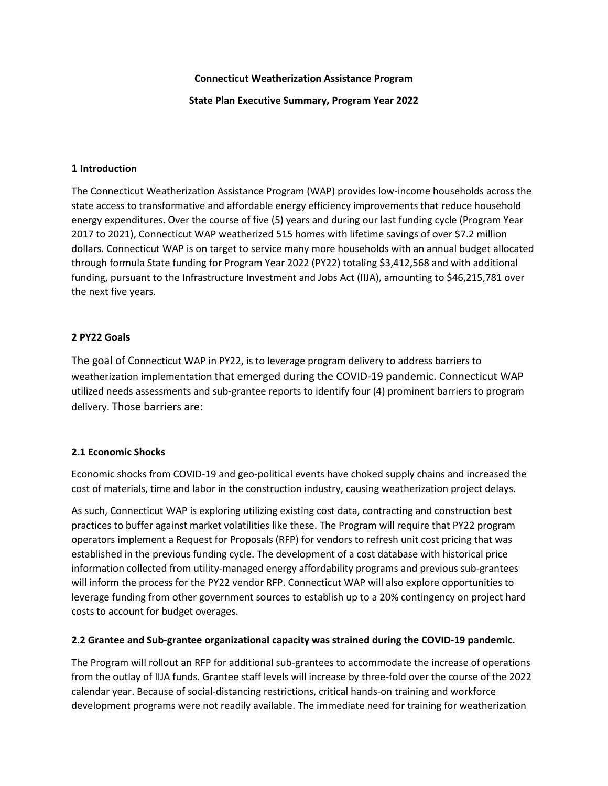# **Connecticut Weatherization Assistance Program**

**State Plan Executive Summary, Program Year 2022**

# **1 Introduction**

The Connecticut Weatherization Assistance Program (WAP) provides low-income households across the state access to transformative and affordable energy efficiency improvements that reduce household energy expenditures. Over the course of five (5) years and during our last funding cycle (Program Year 2017 to 2021), Connecticut WAP weatherized 515 homes with lifetime savings of over \$7.2 million dollars. Connecticut WAP is on target to service many more households with an annual budget allocated through formula State funding for Program Year 2022 (PY22) totaling \$3,412,568 and with additional funding, pursuant to the Infrastructure Investment and Jobs Act (IIJA), amounting to \$46,215,781 over the next five years.

# **2 PY22 Goals**

The goal of Connecticut WAP in PY22, is to leverage program delivery to address barriers to weatherization implementation that emerged during the COVID-19 pandemic. Connecticut WAP utilized needs assessments and sub-grantee reports to identify four (4) prominent barriers to program delivery. Those barriers are:

# **2.1 Economic Shocks**

Economic shocks from COVID-19 and geo-political events have choked supply chains and increased the cost of materials, time and labor in the construction industry, causing weatherization project delays.

As such, Connecticut WAP is exploring utilizing existing cost data, contracting and construction best practices to buffer against market volatilities like these. The Program will require that PY22 program operators implement a Request for Proposals (RFP) for vendors to refresh unit cost pricing that was established in the previous funding cycle. The development of a cost database with historical price information collected from utility-managed energy affordability programs and previous sub-grantees will inform the process for the PY22 vendor RFP. Connecticut WAP will also explore opportunities to leverage funding from other government sources to establish up to a 20% contingency on project hard costs to account for budget overages.

# **2.2 Grantee and Sub-grantee organizational capacity was strained during the COVID-19 pandemic.**

The Program will rollout an RFP for additional sub-grantees to accommodate the increase of operations from the outlay of IIJA funds. Grantee staff levels will increase by three-fold over the course of the 2022 calendar year. Because of social-distancing restrictions, critical hands-on training and workforce development programs were not readily available. The immediate need for training for weatherization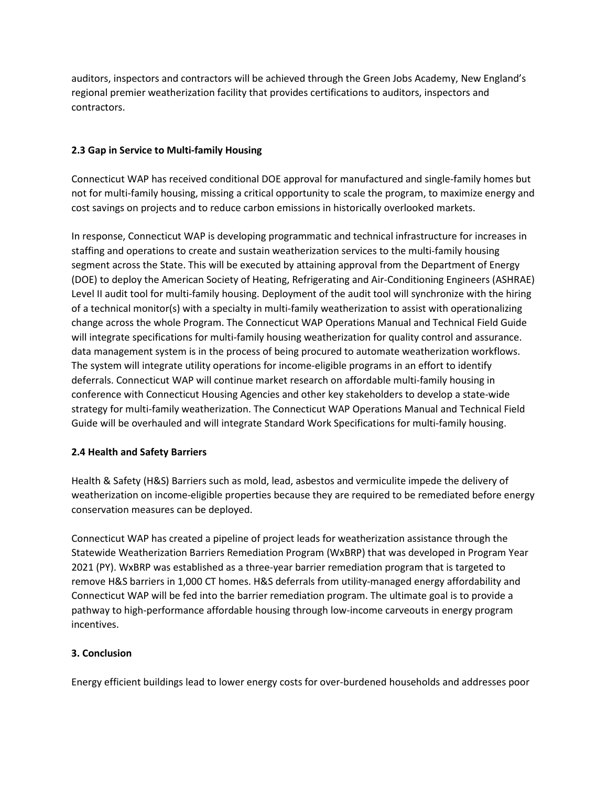auditors, inspectors and contractors will be achieved through the Green Jobs Academy, New England's regional premier weatherization facility that provides certifications to auditors, inspectors and contractors.

# **2.3 Gap in Service to Multi-family Housing**

Connecticut WAP has received conditional DOE approval for manufactured and single-family homes but not for multi-family housing, missing a critical opportunity to scale the program, to maximize energy and cost savings on projects and to reduce carbon emissions in historically overlooked markets.

In response, Connecticut WAP is developing programmatic and technical infrastructure for increases in staffing and operations to create and sustain weatherization services to the multi-family housing segment across the State. This will be executed by attaining approval from the Department of Energy (DOE) to deploy the American Society of Heating, Refrigerating and Air-Conditioning Engineers (ASHRAE) Level II audit tool for multi-family housing. Deployment of the audit tool will synchronize with the hiring of a technical monitor(s) with a specialty in multi-family weatherization to assist with operationalizing change across the whole Program. The Connecticut WAP Operations Manual and Technical Field Guide will integrate specifications for multi-family housing weatherization for quality control and assurance. data management system is in the process of being procured to automate weatherization workflows. The system will integrate utility operations for income-eligible programs in an effort to identify deferrals. Connecticut WAP will continue market research on affordable multi-family housing in conference with Connecticut Housing Agencies and other key stakeholders to develop a state-wide strategy for multi-family weatherization. The Connecticut WAP Operations Manual and Technical Field Guide will be overhauled and will integrate Standard Work Specifications for multi-family housing.

# **2.4 Health and Safety Barriers**

Health & Safety (H&S) Barriers such as mold, lead, asbestos and vermiculite impede the delivery of weatherization on income-eligible properties because they are required to be remediated before energy conservation measures can be deployed.

Connecticut WAP has created a pipeline of project leads for weatherization assistance through the Statewide Weatherization Barriers Remediation Program (WxBRP) that was developed in Program Year 2021 (PY). WxBRP was established as a three-year barrier remediation program that is targeted to remove H&S barriers in 1,000 CT homes. H&S deferrals from utility-managed energy affordability and Connecticut WAP will be fed into the barrier remediation program. The ultimate goal is to provide a pathway to high-performance affordable housing through low-income carveouts in energy program incentives.

# **3. Conclusion**

Energy efficient buildings lead to lower energy costs for over-burdened households and addresses poor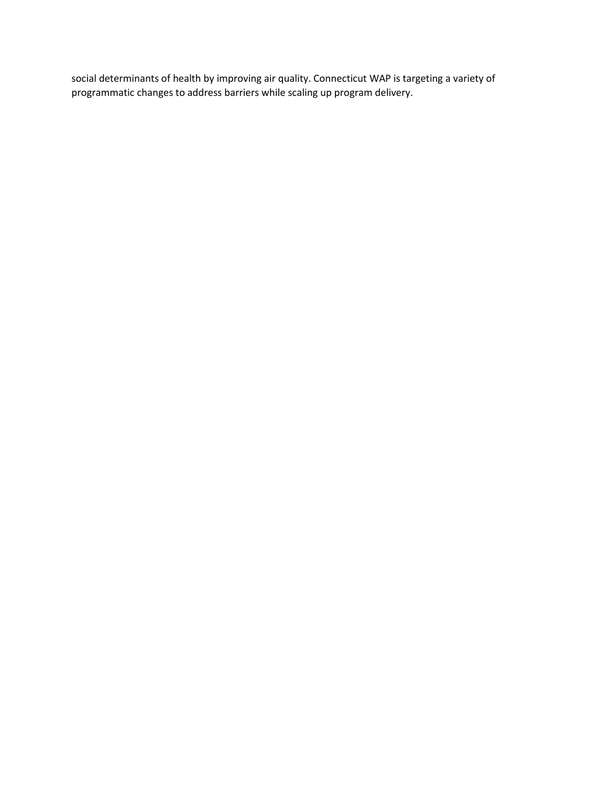social determinants of health by improving air quality. Connecticut WAP is targeting a variety of programmatic changes to address barriers while scaling up program delivery.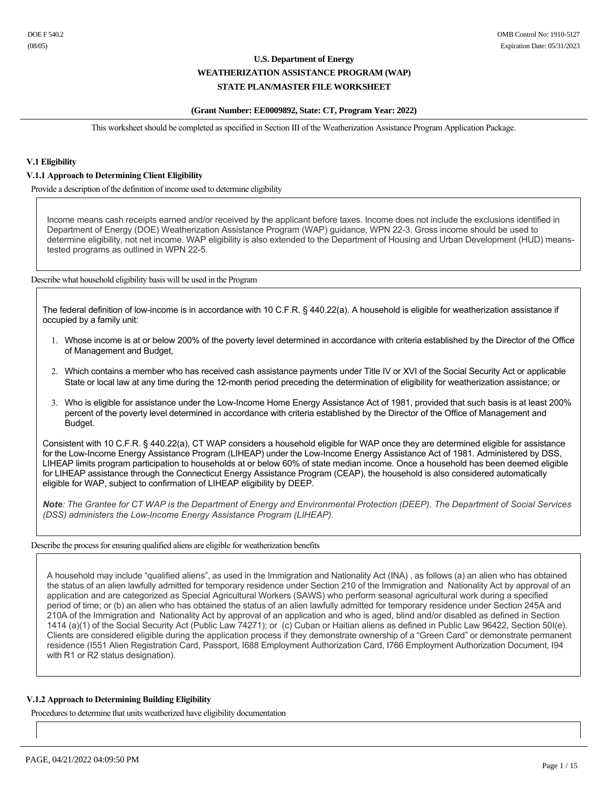#### **(Grant Number: EE0009892, State: CT, Program Year: 2022)**

This worksheet should be completed as specified in Section III of the Weatherization Assistance Program Application Package.

## **V.1 Eligibility**

### **V.1.1 Approach to Determining Client Eligibility**

Provide a description of the definition of income used to determine eligibility

Income means cash receipts earned and/or received by the applicant before taxes. Income does not include the exclusions identified in Department of Energy (DOE) Weatherization Assistance Program (WAP) guidance, WPN 22-3. Gross income should be used to determine eligibility, not net income. WAP eligibility is also extended to the Department of Housing and Urban Development (HUD) meanstested programs as outlined in WPN 22-5.

Describe what household eligibility basis will be used in the Program

The federal definition of low-income is in accordance with 10 C.F.R. § 440.22(a). A household is eligible for weatherization assistance if occupied by a family unit:

- 1. Whose income is at or below 200% of the poverty level determined in accordance with criteria established by the Director of the Office of Management and Budget,
- 2. Which contains a member who has received cash assistance payments under Title IV or XVI of the Social Security Act or applicable State or local law at any time during the 12-month period preceding the determination of eligibility for weatherization assistance; or
- 3. Who is eligible for assistance under the LowIncome Home Energy Assistance Act of 1981, provided that such basis is at least 200% percent of the poverty level determined in accordance with criteria established by the Director of the Office of Management and Budget.

Consistent with 10 C.F.R. § 440.22(a), CT WAP considers a household eligible for WAP once they are determined eligible for assistance for the Low-Income Energy Assistance Program (LIHEAP) under the Low-Income Energy Assistance Act of 1981. Administered by DSS, LIHEAP limits program participation to households at or below 60% of state median income. Once a household has been deemed eligible for LIHEAP assistance through the Connecticut Energy Assistance Program (CEAP), the household is also considered automatically eligible for WAP, subject to confirmation of LIHEAP eligibility by DEEP.

*Note: The Grantee for CT WAP is the Department of Energy and Environmental Protection (DEEP). The Department of Social Services (DSS)* administers the Low-Income Energy Assistance Program *(LIHEAP)*.

Describe the process for ensuring qualified aliens are eligible for weatherization benefits

A household may include "qualified aliens", as used in the Immigration and Nationality Act (INA) , as follows (a) an alien who has obtained the status of an alien lawfully admitted for temporary residence under Section 210 of the Immigration and Nationality Act by approval of an application and are categorized as Special Agricultural Workers (SAWS) who perform seasonal agricultural work during a specified period of time; or (b) an alien who has obtained the status of an alien lawfully admitted for temporary residence under Section 245A and 210A of the Immigration and Nationality Act by approval of an application and who is aged, blind and/or disabled as defined in Section 1414 (a)(1) of the Social Security Act (Public Law 74271); or (c) Cuban or Haitian aliens as defined in Public Law 96422, Section 50I(e). Clients are considered eligible during the application process if they demonstrate ownership of a "Green Card" or demonstrate permanent residence (I551 Alien Registration Card, Passport, I688 Employment Authorization Card, I766 Employment Authorization Document, I94 with R1 or R2 status designation).

#### **V.1.2 Approach to Determining Building Eligibility**

Procedures to determine that units weatherized have eligibility documentation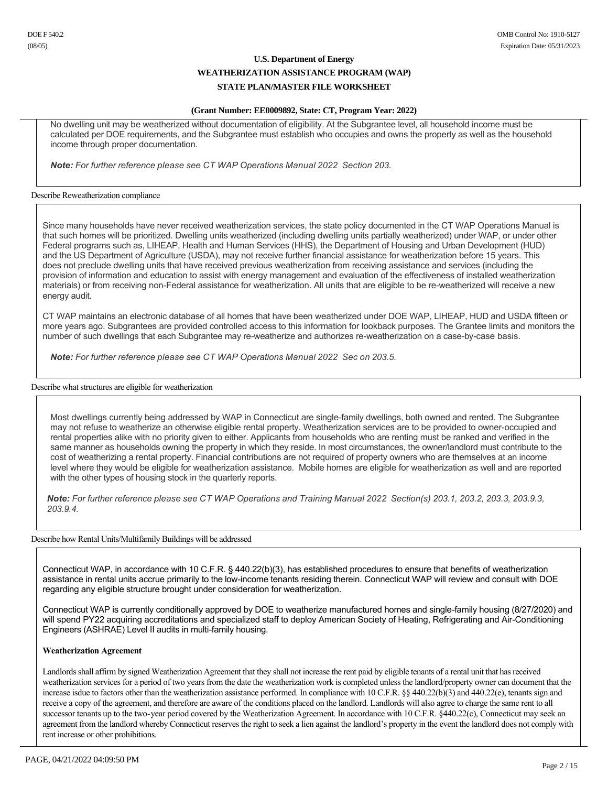## **U.S. Department of Energy WEATHERIZATION ASSISTANCE PROGRAM (WAP)**

## **STATE PLAN/MASTER FILE WORKSHEET**

### **(Grant Number: EE0009892, State: CT, Program Year: 2022)**

No dwelling unit may be weatherized without documentation of eligibility. At the Subgrantee level, all household income must be calculated per DOE requirements, and the Subgrantee must establish who occupies and owns the property as well as the household income through proper documentation.

*Note: For further reference please see CT WAP Operations Manual 2022 Section 203.*

### Describe Reweatherization compliance

Since many households have never received weatherization services, the state policy documented in the CT WAP Operations Manual is that such homes will be prioritized. Dwelling units weatherized (including dwelling units partially weatherized) under WAP, or under other Federal programs such as, LIHEAP, Health and Human Services (HHS), the Department of Housing and Urban Development (HUD) and the US Department of Agriculture (USDA), may not receive further financial assistance for weatherization before 15 years. This does not preclude dwelling units that have received previous weatherization from receiving assistance and services (including the provision of information and education to assist with energy management and evaluation of the effectiveness of installed weatherization materials) or from receiving non-Federal assistance for weatherization. All units that are eligible to be re-weatherized will receive a new energy audit.

CT WAP maintains an electronic database of all homes that have been weatherized under DOE WAP, LIHEAP, HUD and USDA fifteen or more years ago. Subgrantees are provided controlled access to this information for lookback purposes. The Grantee limits and monitors the number of such dwellings that each Subgrantee may re-weatherize and authorizes re-weatherization on a case-by-case basis.

*Note: For further reference please see CT WAP Operations Manual 2022 Sec on 203.5.*

#### Describe what structures are eligible for weatherization

Most dwellings currently being addressed by WAP in Connecticut are single-family dwellings, both owned and rented. The Subgrantee may not refuse to weatherize an otherwise eligible rental property. Weatherization services are to be provided to owner-occupied and rental properties alike with no priority given to either. Applicants from households who are renting must be ranked and verified in the same manner as households owning the property in which they reside. In most circumstances, the owner/landlord must contribute to the cost of weatherizing a rental property. Financial contributions are not required of property owners who are themselves at an income level where they would be eligible for weatherization assistance. Mobile homes are eligible for weatherization as well and are reported with the other types of housing stock in the quarterly reports.

Note: For further reference please see CT WAP Operations and Training Manual 2022 Section(s) 203.1, 203.2, 203.3, 203.9.3, *203.9.4.*

## Describe how Rental Units/Multifamily Buildings will be addressed

Connecticut WAP, in accordance with 10 C.F.R. § 440.22(b)(3), has established procedures to ensure that benefits of weatherization assistance in rental units accrue primarily to the low-income tenants residing therein. Connecticut WAP will review and consult with DOE regarding any eligible structure brought under consideration for weatherization.

Connecticut WAP is currently conditionally approved by DOE to weatherize manufactured homes and single-family housing (8/27/2020) and will spend PY22 acquiring accreditations and specialized staff to deploy American Society of Heating, Refrigerating and Air-Conditioning Engineers (ASHRAE) Level II audits in multi-family housing.

## **Weatherization Agreement**

Landlords shall affirm by signed Weatherization Agreement that they shall not increase the rent paid by eligible tenants of a rental unit that has received weatherization services for a period of two years from the date the weatherization work is completed unless the landlord/property owner can document that the increase isdue to factors other than the weatherization assistance performed. In compliance with 10 C.F.R. §§ 440.22(b)(3) and 440.22(e), tenants sign and receive a copy of the agreement, and therefore are aware of the conditions placed on the landlord. Landlords will also agree to charge the same rent to all successor tenants up to the two-year period covered by the Weatherization Agreement. In accordance with 10 C.F.R. §440.22(c), Connecticut may seek an agreement from the landlord whereby Connecticut reserves the right to seek a lien against the landlord's property in the event the landlord does not comply with rent increase or other prohibitions.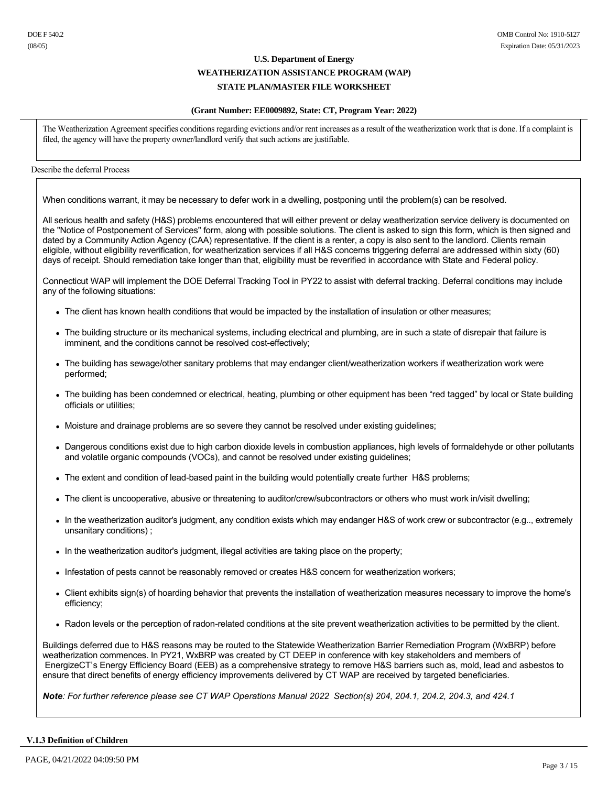### **(Grant Number: EE0009892, State: CT, Program Year: 2022)**

The Weatherization Agreement specifies conditions regarding evictions and/or rent increases as a result of the weatherization work that is done. If a complaint is filed, the agency will have the property owner/landlord verify that such actions are justifiable.

## Describe the deferral Process

When conditions warrant, it may be necessary to defer work in a dwelling, postponing until the problem(s) can be resolved.

All serious health and safety (H&S) problems encountered that will either prevent or delay weatherization service delivery is documented on the "Notice of Postponement of Services" form, along with possible solutions. The client is asked to sign this form, which is then signed and dated by a Community Action Agency (CAA) representative. If the client is a renter, a copy is also sent to the landlord. Clients remain eligible, without eligibility reverification, for weatherization services if all H&S concerns triggering deferral are addressed within sixty (60) days of receipt. Should remediation take longer than that, eligibility must be reverified in accordance with State and Federal policy.

Connecticut WAP will implement the DOE Deferral Tracking Tool in PY22 to assist with deferral tracking. Deferral conditions may include any of the following situations:

- The client has known health conditions that would be impacted by the installation of insulation or other measures;
- The building structure or its mechanical systems, including electrical and plumbing, are in such a state of disrepair that failure is imminent, and the conditions cannot be resolved cost-effectively;
- The building has sewage/other sanitary problems that may endanger client/weatherization workers if weatherization work were performed;
- The building has been condemned or electrical, heating, plumbing or other equipment has been "red tagged" by local or State building officials or utilities;
- Moisture and drainage problems are so severe they cannot be resolved under existing guidelines;
- Dangerous conditions exist due to high carbon dioxide levels in combustion appliances, high levels of formaldehyde or other pollutants and volatile organic compounds (VOCs), and cannot be resolved under existing guidelines;
- The extent and condition of lead-based paint in the building would potentially create further H&S problems;
- The client is uncooperative, abusive or threatening to auditor/crew/subcontractors or others who must work in/visit dwelling;
- In the weatherization auditor's judgment, any condition exists which may endanger H&S of work crew or subcontractor (e.g.., extremely unsanitary conditions) ;
- In the weatherization auditor's judgment, illegal activities are taking place on the property;
- Infestation of pests cannot be reasonably removed or creates H&S concern for weatherization workers;
- <sup>l</sup> Client exhibits sign(s) of hoarding behavior that prevents the installation of weatherization measures necessary to improve the home's efficiency;
- Radon levels or the perception of radon-related conditions at the site prevent weatherization activities to be permitted by the client.

Buildings deferred due to H&S reasons may be routed to the Statewide Weatherization Barrier Remediation Program (WxBRP) before weatherization commences. In PY21, WxBRP was created by CT DEEP in conference with key stakeholders and members of EnergizeCT's Energy Efficiency Board (EEB) as a comprehensive strategy to remove H&S barriers such as, mold, lead and asbestos to ensure that direct benefits of energy efficiency improvements delivered by CT WAP are received by targeted beneficiaries.

*Note: For further reference please see CT WAP Operations Manual 2022 Section(s) 204, 204.1, 204.2, 204.3, and 424.1*

### **V.1.3 Definition of Children**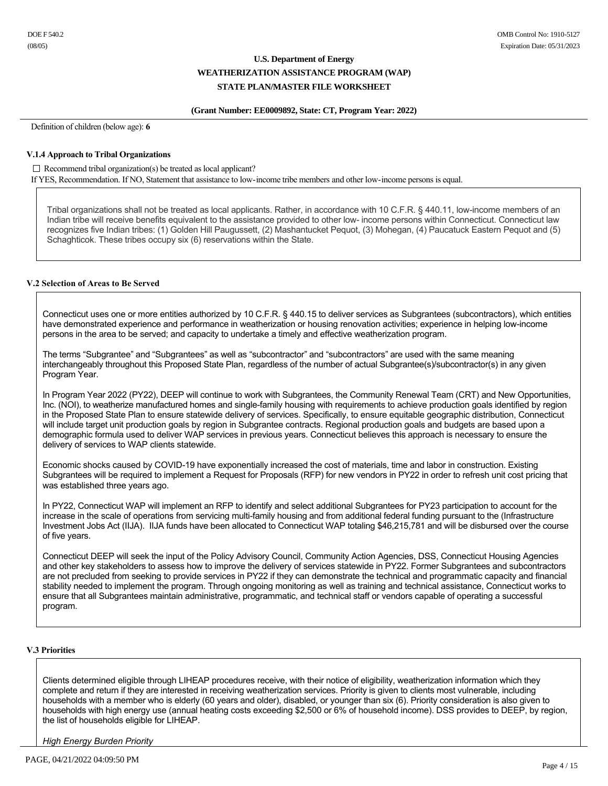## **(Grant Number: EE0009892, State: CT, Program Year: 2022)**

Definition of children (below age): **6**

### **V.1.4 Approach to Tribal Organizations**

#### $\Box$  Recommend tribal organization(s) be treated as local applicant?

If YES, Recommendation. If NO, Statement that assistance to low-income tribe members and other low-income persons is equal.

Tribal organizations shall not be treated as local applicants. Rather, in accordance with 10 C.F.R. § 440.11, low-income members of an Indian tribe will receive benefits equivalent to the assistance provided to other low- income persons within Connecticut. Connecticut law recognizes five Indian tribes: (1) Golden Hill Paugussett, (2) Mashantucket Pequot, (3) Mohegan, (4) Paucatuck Eastern Pequot and (5) Schaghticok. These tribes occupy six (6) reservations within the State.

## **V.2 Selection of Areas to Be Served**

Connecticut uses one or more entities authorized by 10 C.F.R. § 440.15 to deliver services as Subgrantees (subcontractors), which entities have demonstrated experience and performance in weatherization or housing renovation activities; experience in helping lowincome persons in the area to be served; and capacity to undertake a timely and effective weatherization program.

The terms "Subgrantee" and "Subgrantees" as well as "subcontractor" and "subcontractors" are used with the same meaning interchangeably throughout this Proposed State Plan, regardless of the number of actual Subgrantee(s)/subcontractor(s) in any given Program Year.

In Program Year 2022 (PY22), DEEP will continue to work with Subgrantees, the Community Renewal Team (CRT) and New Opportunities, Inc. (NOI), to weatherize manufactured homes and single-family housing with requirements to achieve production goals identified by region in the Proposed State Plan to ensure statewide delivery of services. Specifically, to ensure equitable geographic distribution, Connecticut will include target unit production goals by region in Subgrantee contracts. Regional production goals and budgets are based upon a demographic formula used to deliver WAP services in previous years. Connecticut believes this approach is necessary to ensure the delivery of services to WAP clients statewide.

Economic shocks caused by COVID-19 have exponentially increased the cost of materials, time and labor in construction. Existing Subgrantees will be required to implement a Request for Proposals (RFP) for new vendors in PY22 in order to refresh unit cost pricing that was established three years ago.

In PY22, Connecticut WAP will implement an RFP to identify and select additional Subgrantees for PY23 participation to account for the increase in the scale of operations from servicing multi-family housing and from additional federal funding pursuant to the (Infrastructure Investment Jobs Act (IIJA). IIJA funds have been allocated to Connecticut WAP totaling \$46,215,781 and will be disbursed over the course of five years.

Connecticut DEEP will seek the input of the Policy Advisory Council, Community Action Agencies, DSS, Connecticut Housing Agencies and other key stakeholders to assess how to improve the delivery of services statewide in PY22. Former Subgrantees and subcontractors are not precluded from seeking to provide services in PY22 if they can demonstrate the technical and programmatic capacity and financial stability needed to implement the program. Through ongoing monitoring as well as training and technical assistance, Connecticut works to ensure that all Subgrantees maintain administrative, programmatic, and technical staff or vendors capable of operating a successful program.

## **V.3 Priorities**

Clients determined eligible through LIHEAP procedures receive, with their notice of eligibility, weatherization information which they complete and return if they are interested in receiving weatherization services. Priority is given to clients most vulnerable, including households with a member who is elderly (60 years and older), disabled, or younger than six (6). Priority consideration is also given to households with high energy use (annual heating costs exceeding \$2,500 or 6% of household income). DSS provides to DEEP, by region, the list of households eligible for LIHEAP.

*High Energy Burden Priority*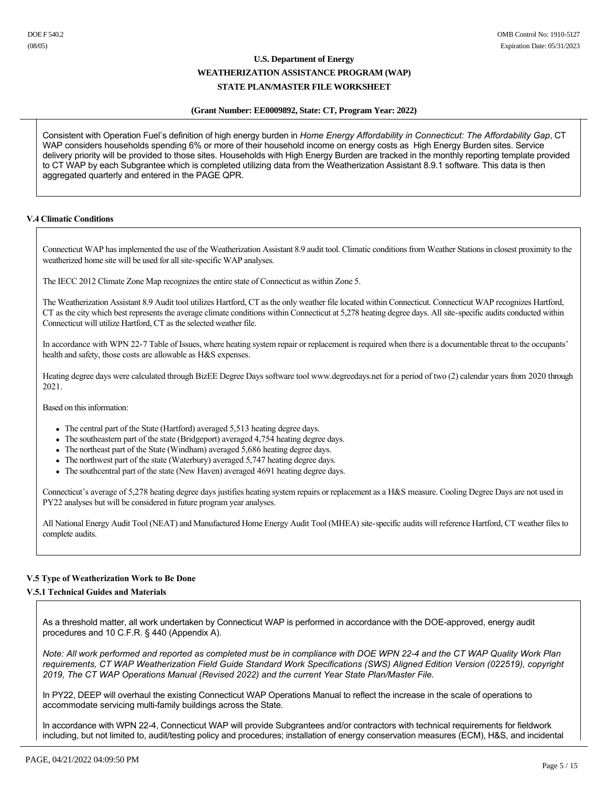### **(Grant Number: EE0009892, State: CT, Program Year: 2022)**

Consistent with Operation Fuel's definition of high energy burden in *Home Energy Affordability in Connecticut: The Affordability Gap*, CT WAP considers households spending 6% or more of their household income on energy costs as High Energy Burden sites. Service delivery priority will be provided to those sites. Households with High Energy Burden are tracked in the monthly reporting template provided to CT WAP by each Subgrantee which is completed utilizing data from the Weatherization Assistant 8.9.1 software. This data is then aggregated quarterly and entered in the PAGE QPR.

## **V.4 Climatic Conditions**

Connecticut WAP has implemented the use of the Weatherization Assistant 8.9 audit tool. Climatic conditions from Weather Stations in closest proximity to the weatherized home site will be used for all site-specific WAP analyses.

The IECC 2012 Climate Zone Map recognizes the entire state of Connecticut as within Zone 5.

The Weatherization Assistant 8.9 Audit tool utilizes Hartford, CT as the only weather file located within Connecticut. Connecticut WAP recognizes Hartford, CT as the city which best represents the average climate conditions within Connecticut at 5,278 heating degree days. All site-specific audits conducted within Connecticut will utilize Hartford, CT as the selected weather file.

In accordance with WPN 227 Table of Issues, where heating system repair or replacement is required when there is a documentable threat to the occupants' health and safety, those costs are allowable as H&S expenses.

Heating degree days were calculated through BizEE Degree Days software tool www.degreedays.net for a period of two (2) calendar years from 2020 through 2021.

Based on this information:

- The central part of the State (Hartford) averaged 5,513 heating degree days.
- $\bullet$  The southeastern part of the state (Bridgeport) averaged 4,754 heating degree days.
- The northeast part of the State (Windham) averaged 5,686 heating degree days.
- The northwest part of the state (Waterbury) averaged  $5,747$  heating degree days.
- The southcentral part of the state (New Haven) averaged 4691 heating degree days.

Connecticut's average of 5,278 heating degree days justifies heating system repairs or replacement as a H&S measure. Cooling Degree Days are not used in PY22 analyses but will be considered in future program year analyses.

All National Energy Audit Tool (NEAT) and Manufactured Home Energy Audit Tool (MHEA) sitespecific audits will reference Hartford, CT weather files to complete audits.

## **V.5 Type of Weatherization Work to Be Done**

## **V.5.1 Technical Guides and Materials**

As a threshold matter, all work undertaken by Connecticut WAP is performed in accordance with the DOE-approved, energy audit procedures and 10 C.F.R. § 440 (Appendix A).

*Note: All work performed and reported as completed must be in compliance with DOE WPN 224 and the CT WAP Quality Work Plan requirements, CT WAP Weatherization Field Guide Standard Work Specifications (SWS) Aligned Edition Version (022519), copyright 2019, The CT WAP Operations Manual (Revised 2022) and the current Year State Plan/Master File.*

In PY22, DEEP will overhaul the existing Connecticut WAP Operations Manual to reflect the increase in the scale of operations to accommodate servicing multi-family buildings across the State.

In accordance with WPN 224, Connecticut WAP will provide Subgrantees and/or contractors with technical requirements for fieldwork including, but not limited to, audit/testing policy and procedures; installation of energy conservation measures (ECM), H&S, and incidental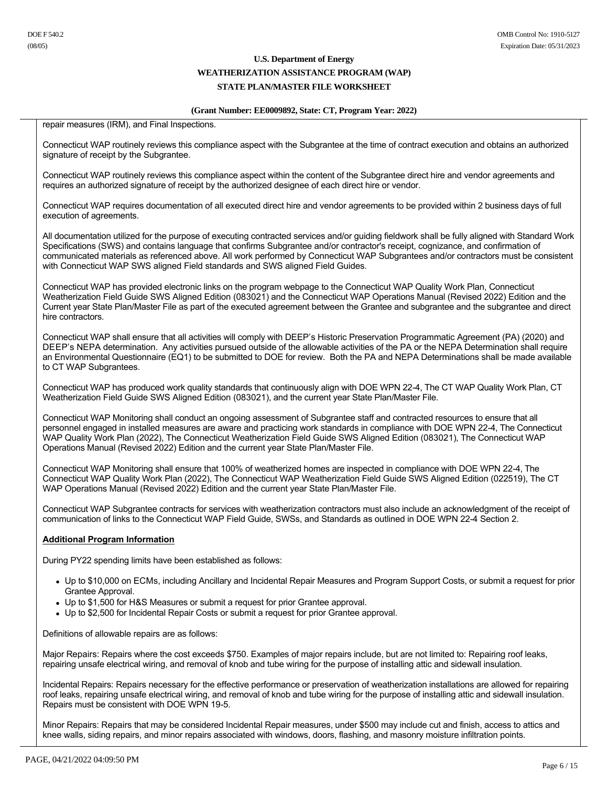#### **WEATHERIZATION ASSISTANCE PROGRAM (WAP)**

## **STATE PLAN/MASTER FILE WORKSHEET**

#### **(Grant Number: EE0009892, State: CT, Program Year: 2022)**

repair measures (IRM), and Final Inspections.

Connecticut WAP routinely reviews this compliance aspect with the Subgrantee at the time of contract execution and obtains an authorized signature of receipt by the Subgrantee.

Connecticut WAP routinely reviews this compliance aspect within the content of the Subgrantee direct hire and vendor agreements and requires an authorized signature of receipt by the authorized designee of each direct hire or vendor.

Connecticut WAP requires documentation of all executed direct hire and vendor agreements to be provided within 2 business days of full execution of agreements.

All documentation utilized for the purpose of executing contracted services and/or guiding fieldwork shall be fully aligned with Standard Work Specifications (SWS) and contains language that confirms Subgrantee and/or contractor's receipt, cognizance, and confirmation of communicated materials as referenced above. All work performed by Connecticut WAP Subgrantees and/or contractors must be consistent with Connecticut WAP SWS aligned Field standards and SWS aligned Field Guides.

Connecticut WAP has provided electronic links on the program webpage to the Connecticut WAP Quality Work Plan, Connecticut Weatherization Field Guide SWS Aligned Edition (083021) and the Connecticut WAP Operations Manual (Revised 2022) Edition and the Current year State Plan/Master File as part of the executed agreement between the Grantee and subgrantee and the subgrantee and direct hire contractors.

Connecticut WAP shall ensure that all activities will comply with DEEP's Historic Preservation Programmatic Agreement (PA) (2020) and DEEP's NEPA determination. Any activities pursued outside of the allowable activities of the PA or the NEPA Determination shall require an Environmental Questionnaire (EQ1) to be submitted to DOE for review. Both the PA and NEPA Determinations shall be made available to CT WAP Subgrantees.

Connecticut WAP has produced work quality standards that continuously align with DOE WPN 224, The CT WAP Quality Work Plan, CT Weatherization Field Guide SWS Aligned Edition (083021), and the current year State Plan/Master File.

Connecticut WAP Monitoring shall conduct an ongoing assessment of Subgrantee staff and contracted resources to ensure that all personnel engaged in installed measures are aware and practicing work standards in compliance with DOE WPN 224, The Connecticut WAP Quality Work Plan (2022), The Connecticut Weatherization Field Guide SWS Aligned Edition (083021), The Connecticut WAP Operations Manual (Revised 2022) Edition and the current year State Plan/Master File.

Connecticut WAP Monitoring shall ensure that 100% of weatherized homes are inspected in compliance with DOE WPN 224, The Connecticut WAP Quality Work Plan (2022), The Connecticut WAP Weatherization Field Guide SWS Aligned Edition (022519), The CT WAP Operations Manual (Revised 2022) Edition and the current year State Plan/Master File.

Connecticut WAP Subgrantee contracts for services with weatherization contractors must also include an acknowledgment of the receipt of communication of links to the Connecticut WAP Field Guide, SWSs, and Standards as outlined in DOE WPN 224 Section 2.

#### **Additional Program Information**

During PY22 spending limits have been established as follows:

- Up to \$10,000 on ECMs, including Ancillary and Incidental Repair Measures and Program Support Costs, or submit a request for prior Grantee Approval.
- Up to \$1,500 for H&S Measures or submit a request for prior Grantee approval.
- Up to \$2,500 for Incidental Repair Costs or submit a request for prior Grantee approval.

Definitions of allowable repairs are as follows:

Major Repairs: Repairs where the cost exceeds \$750. Examples of major repairs include, but are not limited to: Repairing roof leaks, repairing unsafe electrical wiring, and removal of knob and tube wiring for the purpose of installing attic and sidewall insulation.

Incidental Repairs: Repairs necessary for the effective performance or preservation of weatherization installations are allowed for repairing roof leaks, repairing unsafe electrical wiring, and removal of knob and tube wiring for the purpose of installing attic and sidewall insulation. Repairs must be consistent with DOE WPN 19-5.

Minor Repairs: Repairs that may be considered Incidental Repair measures, under \$500 may include cut and finish, access to attics and knee walls, siding repairs, and minor repairs associated with windows, doors, flashing, and masonry moisture infiltration points.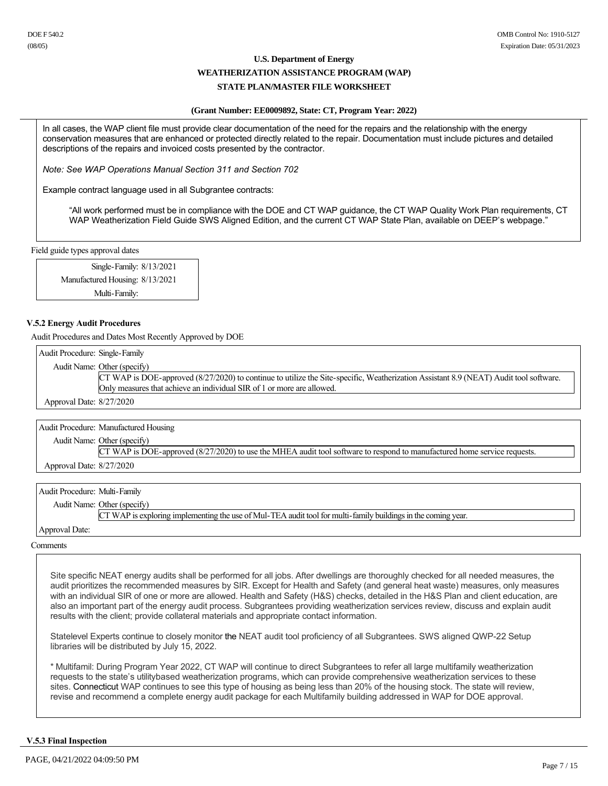#### **WEATHERIZATION ASSISTANCE PROGRAM (WAP)**

### **STATE PLAN/MASTER FILE WORKSHEET**

#### **(Grant Number: EE0009892, State: CT, Program Year: 2022)**

In all cases, the WAP client file must provide clear documentation of the need for the repairs and the relationship with the energy conservation measures that are enhanced or protected directly related to the repair. Documentation must include pictures and detailed descriptions of the repairs and invoiced costs presented by the contractor.

*Note: See WAP Operations Manual Section 311 and Section 702*

Example contract language used in all Subgrantee contracts:

"All work performed must be in compliance with the DOE and CT WAP guidance, the CT WAP Quality Work Plan requirements, CT WAP Weatherization Field Guide SWS Aligned Edition, and the current CT WAP State Plan, available on DEEP's webpage."

Field guide types approval dates

Single-Family: 8/13/2021 Manufactured Housing: 8/13/2021 Multi-Family:

#### **V.5.2 Energy Audit Procedures**

Audit Procedures and Dates Most Recently Approved by DOE

Audit Procedure: Single-Family Audit Name: Other (specify) CT WAP is DOE-approved (8/27/2020) to continue to utilize the Site-specific, Weatherization Assistant 8.9 (NEAT) Audit tool software. Only measures that achieve an individual SIR of 1 or more are allowed.

Approval Date: 8/27/2020

Audit Procedure: Manufactured Housing

Audit Name: Other (specify)

CT WAP is DOE-approved (8/27/2020) to use the MHEA audit tool software to respond to manufactured home service requests. Approval Date: 8/27/2020

Audit Procedure: Multi-Family

Audit Name: Other (specify)

CT WAP is exploring implementing the use of Mul-TEA audit tool for multi-family buildings in the coming year.

### Approval Date:

**Comments** 

Site specific NEAT energy audits shall be performed for all jobs. After dwellings are thoroughly checked for all needed measures, the audit prioritizes the recommended measures by SIR. Except for Health and Safety (and general heat waste) measures, only measures with an individual SIR of one or more are allowed. Health and Safety (H&S) checks, detailed in the H&S Plan and client education, are also an important part of the energy audit process. Subgrantees providing weatherization services review, discuss and explain audit results with the client; provide collateral materials and appropriate contact information.

Statelevel Experts continue to closely monitor the NEAT audit tool proficiency of all Subgrantees. SWS aligned QWP-22 Setup libraries will be distributed by July 15, 2022.

\* Multifamil: During Program Year 2022, CT WAP will continue to direct Subgrantees to refer all large multifamily weatherization requests to the state's utilitybased weatherization programs, which can provide comprehensive weatherization services to these sites. Connecticut WAP continues to see this type of housing as being less than 20% of the housing stock. The state will review, revise and recommend a complete energy audit package for each Multifamily building addressed in WAP for DOE approval.

#### **V.5.3 Final Inspection**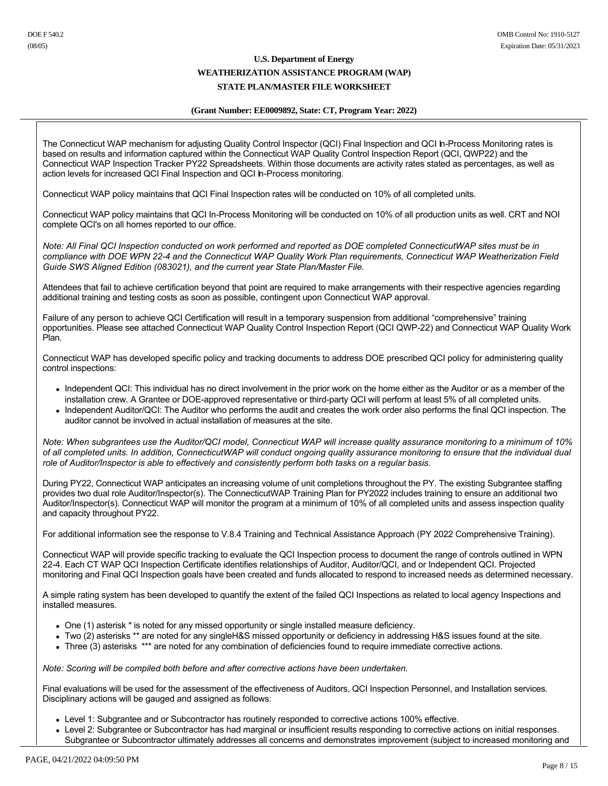### **(Grant Number: EE0009892, State: CT, Program Year: 2022)**

The Connecticut WAP mechanism for adjusting Quality Control Inspector (QCI) Final Inspection and QCI In-Process Monitoring rates is based on results and information captured within the Connecticut WAP Quality Control Inspection Report (QCI, QWP22) and the Connecticut WAP Inspection Tracker PY22 Spreadsheets. Within those documents are activity rates stated as percentages, as well as action levels for increased QCI Final Inspection and QCI In-Process monitoring.

Connecticut WAP policy maintains that QCI Final Inspection rates will be conducted on 10% of all completed units.

Connecticut WAP policy maintains that QCI In-Process Monitoring will be conducted on 10% of all production units as well. CRT and NOI complete QCI's on all homes reported to our office.

*Note: All Final QCI Inspection conducted on work performed and reported as DOE completed ConnecticutWAP sites must be in compliance with DOE WPN 224 and the Connecticut WAP Quality Work Plan requirements, Connecticut WAP Weatherization Field Guide SWS Aligned Edition (083021), and the current year State Plan/Master File.*

Attendees that fail to achieve certification beyond that point are required to make arrangements with their respective agencies regarding additional training and testing costs as soon as possible, contingent upon Connecticut WAP approval.

Failure of any person to achieve QCI Certification will result in a temporary suspension from additional "comprehensive" training opportunities. Please see attached Connecticut WAP Quality Control Inspection Report (QCI QWP22) and Connecticut WAP Quality Work Plan.

Connecticut WAP has developed specific policy and tracking documents to address DOE prescribed QCI policy for administering quality control inspections:

- Independent QCI: This individual has no direct involvement in the prior work on the home either as the Auditor or as a member of the installation crew. A Grantee or DOE-approved representative or third-party QCI will perform at least 5% of all completed units.
- Independent Auditor/QCI: The Auditor who performs the audit and creates the work order also performs the final QCI inspection. The auditor cannot be involved in actual installation of measures at the site.

*Note: When subgrantees use the Auditor/QCI model, Connecticut WAP will increase quality assurance monitoring to a minimum of 10% of all completed units. In addition, ConnecticutWAP will conduct ongoing quality assurance monitoring to ensure that the individual dual role of Auditor/Inspector is able to effectively and consistently perform both tasks on a regular basis.*

During PY22, Connecticut WAP anticipates an increasing volume of unit completions throughout the PY. The existing Subgrantee staffing provides two dual role Auditor/Inspector(s). The ConnecticutWAP Training Plan for PY2022 includes training to ensure an additional two Auditor/Inspector(s). Connecticut WAP will monitor the program at a minimum of 10% of all completed units and assess inspection quality and capacity throughout PY22.

For additional information see the response to V.8.4 Training and Technical Assistance Approach (PY 2022 Comprehensive Training).

Connecticut WAP will provide specific tracking to evaluate the QCI Inspection process to document the range of controls outlined in WPN 224. Each CT WAP QCI Inspection Certificate identifies relationships of Auditor, Auditor/QCI, and or Independent QCI. Projected monitoring and Final QCI Inspection goals have been created and funds allocated to respond to increased needs as determined necessary.

A simple rating system has been developed to quantify the extent of the failed QCI Inspections as related to local agency Inspections and installed measures.

- One (1) asterisk \* is noted for any missed opportunity or single installed measure deficiency.
- Two (2) asterisks \*\* are noted for any singleH&S missed opportunity or deficiency in addressing H&S issues found at the site.
- Three (3) asterisks \*\*\* are noted for any combination of deficiencies found to require immediate corrective actions.

*Note: Scoring will be compiled both before and after corrective actions have been undertaken.*

Final evaluations will be used for the assessment of the effectiveness of Auditors, QCI Inspection Personnel, and Installation services. Disciplinary actions will be gauged and assigned as follows:

- Level 1: Subgrantee and or Subcontractor has routinely responded to corrective actions 100% effective.
- Level 2: Subgrantee or Subcontractor has had marginal or insufficient results responding to corrective actions on initial responses. Subgrantee or Subcontractor ultimately addresses all concerns and demonstrates improvement (subject to increased monitoring and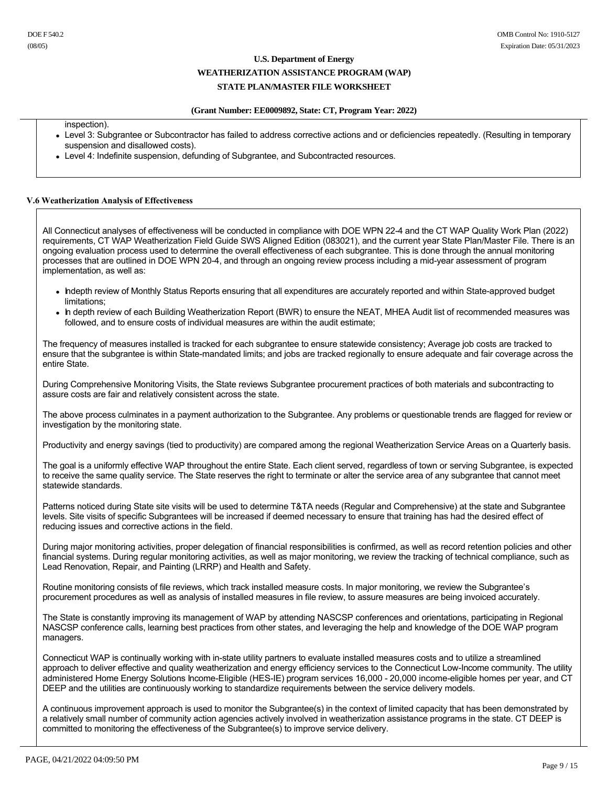#### **WEATHERIZATION ASSISTANCE PROGRAM (WAP)**

### **STATE PLAN/MASTER FILE WORKSHEET**

#### **(Grant Number: EE0009892, State: CT, Program Year: 2022)**

inspection).

- Level 3: Subgrantee or Subcontractor has failed to address corrective actions and or deficiencies repeatedly. (Resulting in temporary suspension and disallowed costs).
- Level 4: Indefinite suspension, defunding of Subgrantee, and Subcontracted resources.

#### **V.6 Weatherization Analysis of Effectiveness**

All Connecticut analyses of effectiveness will be conducted in compliance with DOE WPN 224 and the CT WAP Quality Work Plan (2022) requirements, CT WAP Weatherization Field Guide SWS Aligned Edition (083021), and the current year State Plan/Master File. There is an ongoing evaluation process used to determine the overall effectiveness of each subgrantee. This is done through the annual monitoring processes that are outlined in DOE WPN 204, and through an ongoing review process including a midyear assessment of program implementation, as well as:

- Indepth review of Monthly Status Reports ensuring that all expenditures are accurately reported and within State-approved budget limitations;
- In depth review of each Building Weatherization Report (BWR) to ensure the NEAT, MHEA Audit list of recommended measures was followed, and to ensure costs of individual measures are within the audit estimate;

The frequency of measures installed is tracked for each subgrantee to ensure statewide consistency; Average job costs are tracked to ensure that the subgrantee is within State-mandated limits; and jobs are tracked regionally to ensure adequate and fair coverage across the entire State.

During Comprehensive Monitoring Visits, the State reviews Subgrantee procurement practices of both materials and subcontracting to assure costs are fair and relatively consistent across the state.

The above process culminates in a payment authorization to the Subgrantee. Any problems or questionable trends are flagged for review or investigation by the monitoring state.

Productivity and energy savings (tied to productivity) are compared among the regional Weatherization Service Areas on a Quarterly basis.

The goal is a uniformly effective WAP throughout the entire State. Each client served, regardless of town or serving Subgrantee, is expected to receive the same quality service. The State reserves the right to terminate or alter the service area of any subgrantee that cannot meet statewide standards.

Patterns noticed during State site visits will be used to determine T&TA needs (Regular and Comprehensive) at the state and Subgrantee levels. Site visits of specific Subgrantees will be increased if deemed necessary to ensure that training has had the desired effect of reducing issues and corrective actions in the field.

During major monitoring activities, proper delegation of financial responsibilities is confirmed, as well as record retention policies and other financial systems. During regular monitoring activities, as well as major monitoring, we review the tracking of technical compliance, such as Lead Renovation, Repair, and Painting (LRRP) and Health and Safety.

Routine monitoring consists of file reviews, which track installed measure costs. In major monitoring, we review the Subgrantee's procurement procedures as well as analysis of installed measures in file review, to assure measures are being invoiced accurately.

The State is constantly improving its management of WAP by attending NASCSP conferences and orientations, participating in Regional NASCSP conference calls, learning best practices from other states, and leveraging the help and knowledge of the DOE WAP program managers.

Connecticut WAP is continually working with in-state utility partners to evaluate installed measures costs and to utilize a streamlined approach to deliver effective and quality weatherization and energy efficiency services to the Connecticut Low-Income community. The utility administered Home Energy Solutions Income-Eligible (HES-IE) program services 16,000 - 20,000 income-eligible homes per year, and CT DEEP and the utilities are continuously working to standardize requirements between the service delivery models.

A continuous improvement approach is used to monitor the Subgrantee(s) in the context of limited capacity that has been demonstrated by a relatively small number of community action agencies actively involved in weatherization assistance programs in the state. CT DEEP is committed to monitoring the effectiveness of the Subgrantee(s) to improve service delivery.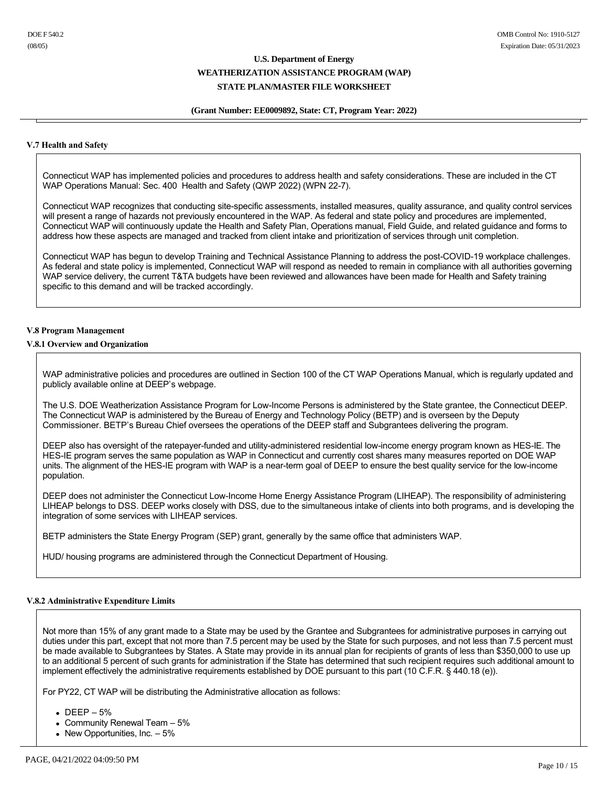#### **(Grant Number: EE0009892, State: CT, Program Year: 2022)**

#### **V.7 Health and Safety**

Connecticut WAP has implemented policies and procedures to address health and safety considerations. These are included in the CT WAP Operations Manual: Sec. 400 Health and Safety (QWP 2022) (WPN 227).

Connecticut WAP recognizes that conducting site-specific assessments, installed measures, quality assurance, and quality control services will present a range of hazards not previously encountered in the WAP. As federal and state policy and procedures are implemented, Connecticut WAP will continuously update the Health and Safety Plan, Operations manual, Field Guide, and related guidance and forms to address how these aspects are managed and tracked from client intake and prioritization of services through unit completion.

Connecticut WAP has begun to develop Training and Technical Assistance Planning to address the post-COVID-19 workplace challenges. As federal and state policy is implemented, Connecticut WAP will respond as needed to remain in compliance with all authorities governing WAP service delivery, the current T&TA budgets have been reviewed and allowances have been made for Health and Safety training specific to this demand and will be tracked accordingly.

#### **V.8 Program Management**

#### **V.8.1 Overview and Organization**

WAP administrative policies and procedures are outlined in Section 100 of the CT WAP Operations Manual, which is regularly updated and publicly available online at DEEP's webpage.

The U.S. DOE Weatherization Assistance Program for Low-Income Persons is administered by the State grantee, the Connecticut DEEP. The Connecticut WAP is administered by the Bureau of Energy and Technology Policy (BETP) and is overseen by the Deputy Commissioner. BETP's Bureau Chief oversees the operations of the DEEP staff and Subgrantees delivering the program.

DEEP also has oversight of the ratepayer-funded and utility-administered residential low-income energy program known as HES-IE. The HES-IE program serves the same population as WAP in Connecticut and currently cost shares many measures reported on DOE WAP units. The alignment of the HES-IE program with WAP is a near-term goal of DEEP to ensure the best quality service for the low-income population.

DEEP does not administer the Connecticut Low-Income Home Energy Assistance Program (LIHEAP). The responsibility of administering LIHEAP belongs to DSS. DEEP works closely with DSS, due to the simultaneous intake of clients into both programs, and is developing the integration of some services with LIHEAP services.

BETP administers the State Energy Program (SEP) grant, generally by the same office that administers WAP.

HUD/ housing programs are administered through the Connecticut Department of Housing.

#### **V.8.2 Administrative Expenditure Limits**

Not more than 15% of any grant made to a State may be used by the Grantee and Subgrantees for administrative purposes in carrying out duties under this part, except that not more than 7.5 percent may be used by the State for such purposes, and not less than 7.5 percent must be made available to Subgrantees by States. A State may provide in its annual plan for recipients of grants of less than \$350,000 to use up to an additional 5 percent of such grants for administration if the State has determined that such recipient requires such additional amount to implement effectively the administrative requirements established by DOE pursuant to this part (10 C.F.R. § 440.18 (e)).

For PY22, CT WAP will be distributing the Administrative allocation as follows:

- $\bullet$  DEEP 5%
- Community Renewal Team  $-5%$
- New Opportunities, Inc.  $-5%$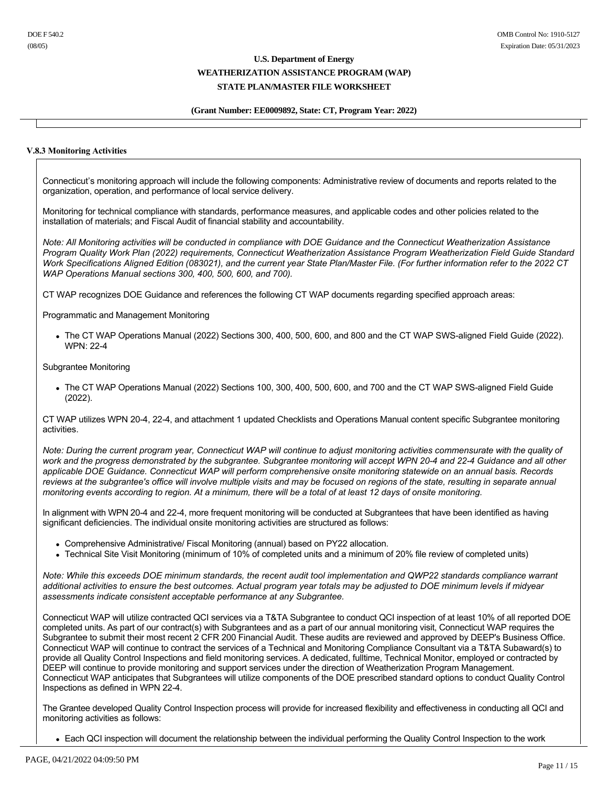## **(Grant Number: EE0009892, State: CT, Program Year: 2022)**

### **V.8.3 Monitoring Activities**

Connecticut's monitoring approach will include the following components: Administrative review of documents and reports related to the organization, operation, and performance of local service delivery.

Monitoring for technical compliance with standards, performance measures, and applicable codes and other policies related to the installation of materials; and Fiscal Audit of financial stability and accountability.

*Note: All Monitoring activities will be conducted in compliance with DOE Guidance and the Connecticut Weatherization Assistance Program Quality Work Plan (2022) requirements, Connecticut Weatherization Assistance Program Weatherization Field Guide Standard Work Specifications Aligned Edition (083021), and the current year State Plan/Master File. (For further information refer to the 2022 CT WAP Operations Manual sections 300, 400, 500, 600, and 700).*

CT WAP recognizes DOE Guidance and references the following CT WAP documents regarding specified approach areas:

Programmatic and Management Monitoring

• The CT WAP Operations Manual (2022) Sections 300, 400, 500, 600, and 800 and the CT WAP SWS-aligned Field Guide (2022). WPN: 22-4

Subgrantee Monitoring

• The CT WAP Operations Manual (2022) Sections 100, 300, 400, 500, 600, and 700 and the CT WAP SWS-aligned Field Guide (2022).

CT WAP utilizes WPN 204, 224, and attachment 1 updated Checklists and Operations Manual content specific Subgrantee monitoring activities.

*Note: During the current program year, Connecticut WAP will continue to adjust monitoring activities commensurate with the quality of work and the progress demonstrated by the subgrantee. Subgrantee monitoring will accept WPN 204 and 224 Guidance and all other applicable DOE Guidance. Connecticut WAP will perform comprehensive onsite monitoring statewide on an annual basis. Records reviews at the subgrantee's office will involve multiple visits and may be focused on regions of the state, resulting in separate annual monitoring events according to region. At a minimum, there will be a total of at least 12 days of onsite monitoring.*

In alignment with WPN 20-4 and 22-4, more frequent monitoring will be conducted at Subgrantees that have been identified as having significant deficiencies. The individual onsite monitoring activities are structured as follows:

- Comprehensive Administrative/ Fiscal Monitoring (annual) based on PY22 allocation.
- Technical Site Visit Monitoring (minimum of 10% of completed units and a minimum of 20% file review of completed units)

*Note: While this exceeds DOE minimum standards, the recent audit tool implementation and QWP22 standards compliance warrant additional activities to ensure the best outcomes. Actual program year totals may be adjusted to DOE minimum levels if midyear assessments indicate consistent acceptable performance at any Subgrantee.*

Connecticut WAP will utilize contracted QCI services via a T&TA Subgrantee to conduct QCI inspection of at least 10% of all reported DOE completed units. As part of our contract(s) with Subgrantees and as a part of our annual monitoring visit, Connecticut WAP requires the Subgrantee to submit their most recent 2 CFR 200 Financial Audit. These audits are reviewed and approved by DEEP's Business Office. Connecticut WAP will continue to contract the services of a Technical and Monitoring Compliance Consultant via a T&TA Subaward(s) to provide all Quality Control Inspections and field monitoring services. A dedicated, fulltime, Technical Monitor, employed or contracted by DEEP will continue to provide monitoring and support services under the direction of Weatherization Program Management. Connecticut WAP anticipates that Subgrantees will utilize components of the DOE prescribed standard options to conduct Quality Control Inspections as defined in WPN 22-4.

The Grantee developed Quality Control Inspection process will provide for increased flexibility and effectiveness in conducting all QCI and monitoring activities as follows:

<sup>•</sup> Each QCI inspection will document the relationship between the individual performing the Quality Control Inspection to the work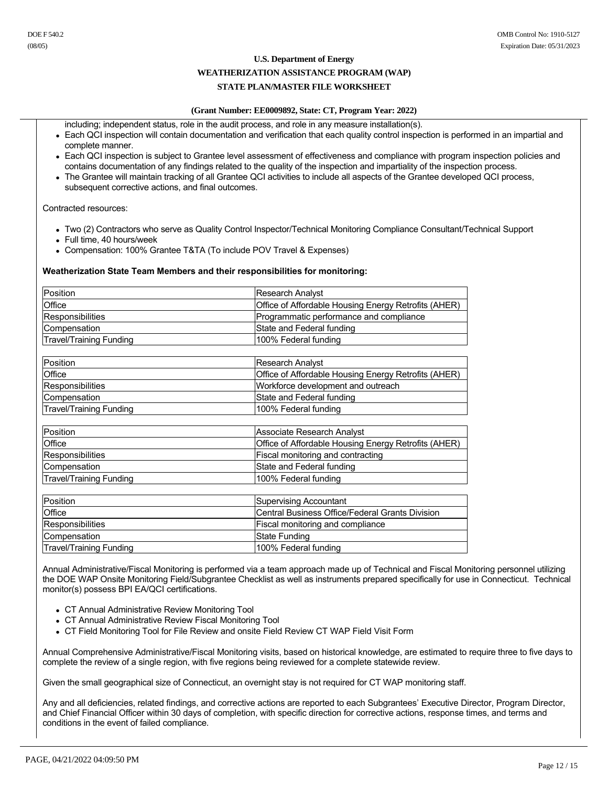#### **WEATHERIZATION ASSISTANCE PROGRAM (WAP)**

## **STATE PLAN/MASTER FILE WORKSHEET**

## **(Grant Number: EE0009892, State: CT, Program Year: 2022)**

including; independent status, role in the audit process, and role in any measure installation(s).

- Each QCI inspection will contain documentation and verification that each quality control inspection is performed in an impartial and complete manner.
- Each QCI inspection is subject to Grantee level assessment of effectiveness and compliance with program inspection policies and contains documentation of any findings related to the quality of the inspection and impartiality of the inspection process.
- The Grantee will maintain tracking of all Grantee QCI activities to include all aspects of the Grantee developed QCI process, subsequent corrective actions, and final outcomes.

Contracted resources:

- Two (2) Contractors who serve as Quality Control Inspector/Technical Monitoring Compliance Consultant/Technical Support
- $\bullet$  Full time, 40 hours/week
- Compensation: 100% Grantee T&TA (To include POV Travel & Expenses)

#### **Weatherization State Team Members and their responsibilities for monitoring:**

| Position                       | Research Analyst                                     |
|--------------------------------|------------------------------------------------------|
| Office                         | Office of Affordable Housing Energy Retrofits (AHER) |
| Responsibilities               | Programmatic performance and compliance              |
| Compensation                   | State and Federal funding                            |
| <b>Travel/Training Funding</b> | 100% Federal funding                                 |
|                                |                                                      |
| Position                       | Research Analyst                                     |
| Office                         | Office of Affordable Housing Energy Retrofits (AHER) |
| Responsibilities               | Workforce development and outreach                   |
| Compensation                   | State and Federal funding                            |
| <b>Travel/Training Funding</b> | 100% Federal funding                                 |
|                                |                                                      |
| Position                       | Associate Research Analyst                           |
| Office                         | Office of Affordable Housing Energy Retrofits (AHER) |
| Responsibilities               | Fiscal monitoring and contracting                    |
| Compensation                   | State and Federal funding                            |
| <b>Travel/Training Funding</b> | 100% Federal funding                                 |
|                                |                                                      |
| Position                       | <b>Supervising Accountant</b>                        |
| Office                         | Central Business Office/Federal Grants Division      |
| Responsibilities               | Fiscal monitoring and compliance                     |
| Compensation                   | <b>State Funding</b>                                 |
| <b>Travel/Training Funding</b> | 100% Federal funding                                 |

Annual Administrative/Fiscal Monitoring is performed via a team approach made up of Technical and Fiscal Monitoring personnel utilizing the DOE WAP Onsite Monitoring Field/Subgrantee Checklist as well as instruments prepared specifically for use in Connecticut. Technical monitor(s) possess BPI EA/QCI certifications.

- CT Annual Administrative Review Monitoring Tool
- CT Annual Administrative Review Fiscal Monitoring Tool
- CT Field Monitoring Tool for File Review and onsite Field Review CT WAP Field Visit Form

Annual Comprehensive Administrative/Fiscal Monitoring visits, based on historical knowledge, are estimated to require three to five days to complete the review of a single region, with five regions being reviewed for a complete statewide review.

Given the small geographical size of Connecticut, an overnight stay is not required for CT WAP monitoring staff.

Any and all deficiencies, related findings, and corrective actions are reported to each Subgrantees' Executive Director, Program Director, and Chief Financial Officer within 30 days of completion, with specific direction for corrective actions, response times, and terms and conditions in the event of failed compliance.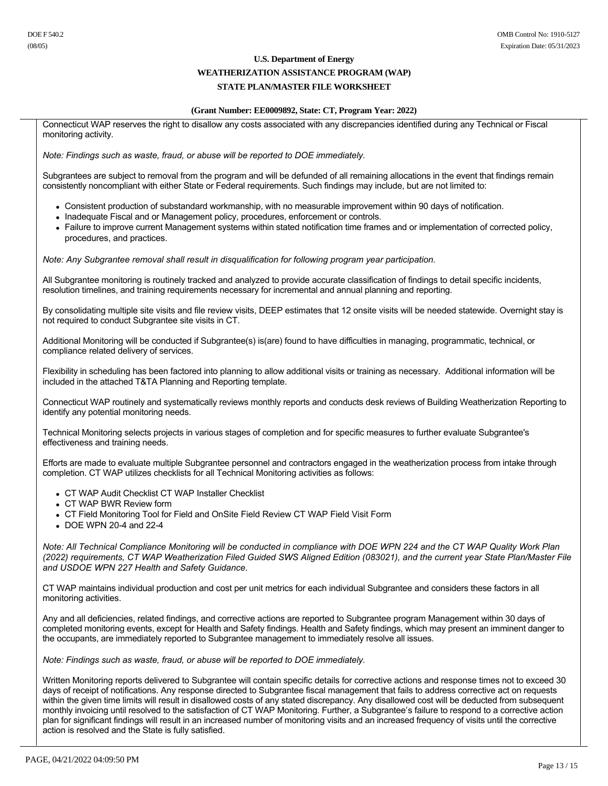### **WEATHERIZATION ASSISTANCE PROGRAM (WAP)**

## **STATE PLAN/MASTER FILE WORKSHEET**

### **(Grant Number: EE0009892, State: CT, Program Year: 2022)**

Connecticut WAP reserves the right to disallow any costs associated with any discrepancies identified during any Technical or Fiscal monitoring activity.

*Note: Findings such as waste, fraud, or abuse will be reported to DOE immediately.*

Subgrantees are subject to removal from the program and will be defunded of all remaining allocations in the event that findings remain consistently noncompliant with either State or Federal requirements. Such findings may include, but are not limited to:

- Consistent production of substandard workmanship, with no measurable improvement within 90 days of notification.
- Inadequate Fiscal and or Management policy, procedures, enforcement or controls.
- Failure to improve current Management systems within stated notification time frames and or implementation of corrected policy, procedures, and practices.

*Note: Any Subgrantee removal shall result in disqualification for following program year participation.*

All Subgrantee monitoring is routinely tracked and analyzed to provide accurate classification of findings to detail specific incidents, resolution timelines, and training requirements necessary for incremental and annual planning and reporting.

By consolidating multiple site visits and file review visits, DEEP estimates that 12 onsite visits will be needed statewide. Overnight stay is not required to conduct Subgrantee site visits in CT.

Additional Monitoring will be conducted if Subgrantee(s) is(are) found to have difficulties in managing, programmatic, technical, or compliance related delivery of services.

Flexibility in scheduling has been factored into planning to allow additional visits or training as necessary. Additional information will be included in the attached T&TA Planning and Reporting template.

Connecticut WAP routinely and systematically reviews monthly reports and conducts desk reviews of Building Weatherization Reporting to identify any potential monitoring needs.

Technical Monitoring selects projects in various stages of completion and for specific measures to further evaluate Subgrantee's effectiveness and training needs.

Efforts are made to evaluate multiple Subgrantee personnel and contractors engaged in the weatherization process from intake through completion. CT WAP utilizes checklists for all Technical Monitoring activities as follows:

- CT WAP Audit Checklist CT WAP Installer Checklist
- CT WAP BWR Review form
- CT Field Monitoring Tool for Field and OnSite Field Review CT WAP Field Visit Form
- $\bullet$  DOE WPN 20-4 and 22-4

*Note: All Technical Compliance Monitoring will be conducted in compliance with DOE WPN 224 and the CT WAP Quality Work Plan (2022) requirements, CT WAP Weatherization Filed Guided SWS Aligned Edition (083021), and the current year State Plan/Master File and USDOE WPN 227 Health and Safety Guidance.*

CT WAP maintains individual production and cost per unit metrics for each individual Subgrantee and considers these factors in all monitoring activities.

Any and all deficiencies, related findings, and corrective actions are reported to Subgrantee program Management within 30 days of completed monitoring events, except for Health and Safety findings. Health and Safety findings, which may present an imminent danger to the occupants, are immediately reported to Subgrantee management to immediately resolve all issues.

*Note: Findings such as waste, fraud, or abuse will be reported to DOE immediately.*

Written Monitoring reports delivered to Subgrantee will contain specific details for corrective actions and response times not to exceed 30 days of receipt of notifications. Any response directed to Subgrantee fiscal management that fails to address corrective act on requests within the given time limits will result in disallowed costs of any stated discrepancy. Any disallowed cost will be deducted from subsequent monthly invoicing until resolved to the satisfaction of CT WAP Monitoring. Further, a Subgrantee's failure to respond to a corrective action plan for significant findings will result in an increased number of monitoring visits and an increased frequency of visits until the corrective action is resolved and the State is fully satisfied.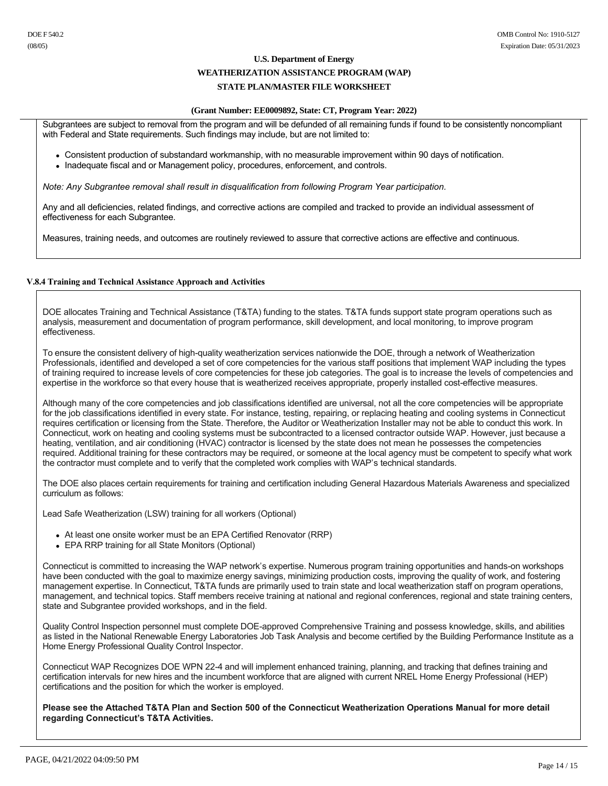# **WEATHERIZATION ASSISTANCE PROGRAM (WAP)**

## **STATE PLAN/MASTER FILE WORKSHEET**

#### **(Grant Number: EE0009892, State: CT, Program Year: 2022)**

Subgrantees are subject to removal from the program and will be defunded of all remaining funds if found to be consistently noncompliant with Federal and State requirements. Such findings may include, but are not limited to:

- Consistent production of substandard workmanship, with no measurable improvement within 90 days of notification.
- Inadequate fiscal and or Management policy, procedures, enforcement, and controls.

*Note: Any Subgrantee removal shall result in disqualification from following Program Year participation.*

Any and all deficiencies, related findings, and corrective actions are compiled and tracked to provide an individual assessment of effectiveness for each Subgrantee.

Measures, training needs, and outcomes are routinely reviewed to assure that corrective actions are effective and continuous.

### **V.8.4 Training and Technical Assistance Approach and Activities**

DOE allocates Training and Technical Assistance (T&TA) funding to the states. T&TA funds support state program operations such as analysis, measurement and documentation of program performance, skill development, and local monitoring, to improve program effectiveness.

To ensure the consistent delivery of high-quality weatherization services nationwide the DOE, through a network of Weatherization Professionals, identified and developed a set of core competencies for the various staff positions that implement WAP including the types of training required to increase levels of core competencies for these job categories. The goal is to increase the levels of competencies and expertise in the workforce so that every house that is weatherized receives appropriate, properly installed costeffective measures.

Although many of the core competencies and job classifications identified are universal, not all the core competencies will be appropriate for the job classifications identified in every state. For instance, testing, repairing, or replacing heating and cooling systems in Connecticut requires certification or licensing from the State. Therefore, the Auditor or Weatherization Installer may not be able to conduct this work. In Connecticut, work on heating and cooling systems must be subcontracted to a licensed contractor outside WAP. However, just because a heating, ventilation, and air conditioning (HVAC) contractor is licensed by the state does not mean he possesses the competencies required. Additional training for these contractors may be required, or someone at the local agency must be competent to specify what work the contractor must complete and to verify that the completed work complies with WAP's technical standards.

The DOE also places certain requirements for training and certification including General Hazardous Materials Awareness and specialized curriculum as follows:

Lead Safe Weatherization (LSW) training for all workers (Optional)

- At least one onsite worker must be an EPA Certified Renovator (RRP)
- EPA RRP training for all State Monitors (Optional)

Connecticut is committed to increasing the WAP network's expertise. Numerous program training opportunities and hands-on workshops have been conducted with the goal to maximize energy savings, minimizing production costs, improving the quality of work, and fostering management expertise. In Connecticut, T&TA funds are primarily used to train state and local weatherization staff on program operations, management, and technical topics. Staff members receive training at national and regional conferences, regional and state training centers, state and Subgrantee provided workshops, and in the field.

Quality Control Inspection personnel must complete DOE-approved Comprehensive Training and possess knowledge, skills, and abilities as listed in the National Renewable Energy Laboratories Job Task Analysis and become certified by the Building Performance Institute as a Home Energy Professional Quality Control Inspector.

Connecticut WAP Recognizes DOE WPN 224 and will implement enhanced training, planning, and tracking that defines training and certification intervals for new hires and the incumbent workforce that are aligned with current NREL Home Energy Professional (HEP) certifications and the position for which the worker is employed.

**Please see the Attached T&TA Plan and Section 500 of the Connecticut Weatherization Operations Manual for more detail regarding Connecticut's T&TA Activities.**